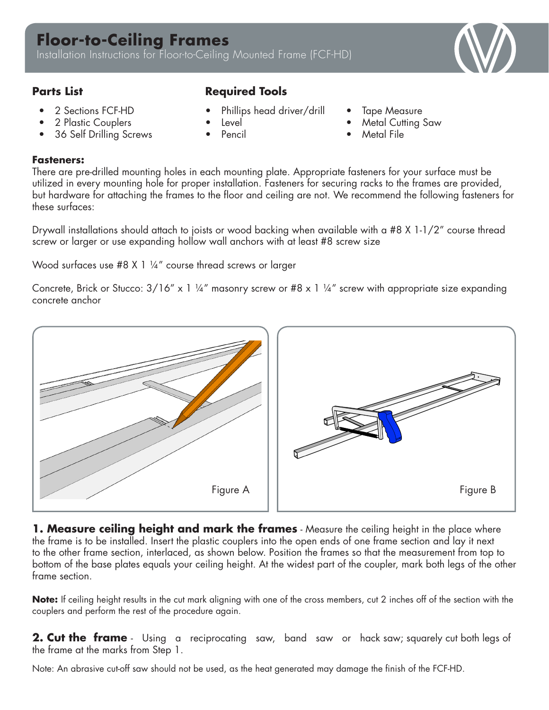

- 2 Sections FCF-HD
- 2 Plastic Couplers
- 36 Self Drilling Screws

## **Parts List Required Tools**

- Phillips head driver/drill
- Level
- Pencil
- Tape Measure
- **Metal Cutting Saw**
- **Metal File**

## **Fasteners:**

There are pre-drilled mounting holes in each mounting plate. Appropriate fasteners for your surface must be utilized in every mounting hole for proper installation. Fasteners for securing racks to the frames are provided, but hardware for attaching the frames to the floor and ceiling are not. We recommend the following fasteners for these surfaces:

Drywall installations should attach to joists or wood backing when available with a #8 X 1-1/2" course thread screw or larger or use expanding hollow wall anchors with at least #8 screw size

Wood surfaces use #8 X 1 1/4" course thread screws or larger

Concrete, Brick or Stucco:  $3/16''$  x 1 ¼" masonry screw or #8 x 1 ¼" screw with appropriate size expanding concrete anchor



**1. Measure ceiling height and mark the frames** - Measure the ceiling height in the place where the frame is to be installed. Insert the plastic couplers into the open ends of one frame section and lay it next to the other frame section, interlaced, as shown below. Position the frames so that the measurement from top to bottom of the base plates equals your ceiling height. At the widest part of the coupler, mark both legs of the other frame section.

**Note:** If ceiling height results in the cut mark aligning with one of the cross members, cut 2 inches off of the section with the couplers and perform the rest of the procedure again.

**2. Cut the frame** - Using a reciprocating saw, band saw or hack saw; squarely cut both legs of the frame at the marks from Step 1.

Note: An abrasive cut-off saw should not be used, as the heat generated may damage the finish of the FCF-HD.